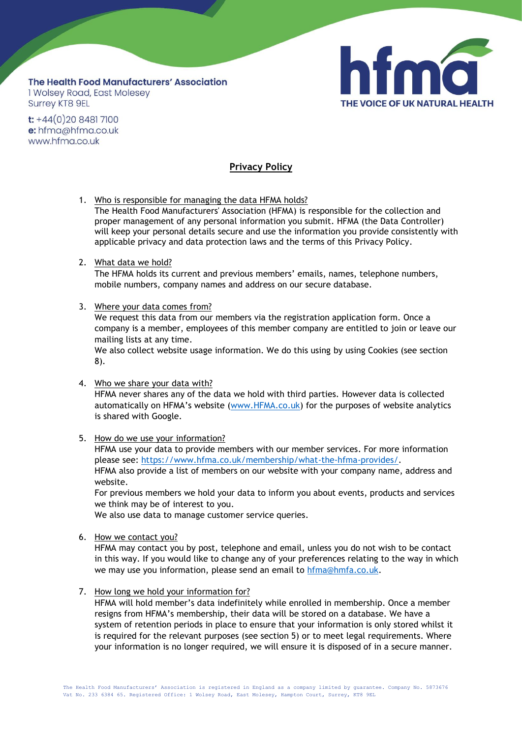## The Health Food Manufacturers' Association **1 Wolsey Road, East Molesey Surrey KT8 9EL**



 $t$ : +44(0)20 8481 7100 e: hfma@hfma.co.uk www.hfma.co.uk

## **Privacy Policy**

1. Who is responsible for managing the data HFMA holds? The Health Food Manufacturers' Association (HFMA) is responsible for the collection and proper management of any personal information you submit. HFMA (the Data Controller) will keep your personal details secure and use the information you provide consistently with applicable privacy and data protection laws and the terms of this Privacy Policy.

## 2. What data we hold?

The HFMA holds its current and previous members' emails, names, telephone numbers, mobile numbers, company names and address on our secure database.

3. Where your data comes from?

We request this data from our members via the registration application form. Once a company is a member, employees of this member company are entitled to join or leave our mailing lists at any time.

We also collect website usage information. We do this using by using Cookies (see section 8).

- 4. Who we share your data with? HFMA never shares any of the data we hold with third parties. However data is collected automatically on HFMA's website ([www.HFMA.co.uk\)](http://www.hfma.co.uk/) for the purposes of website analytics is shared with Google.
- 5. How do we use your information?

HFMA use your data to provide members with our member services. For more information please see: [https://www.hfma.co.uk/membership/what-the-hfma-provides/.](https://www.hfma.co.uk/membership/what-the-hfma-provides/) HFMA also provide a list of members on our website with your company name, address and website.

For previous members we hold your data to inform you about events, products and services we think may be of interest to you.

We also use data to manage customer service queries.

6. How we contact you?

HFMA may contact you by post, telephone and email, unless you do not wish to be contact in this way. If you would like to change any of your preferences relating to the way in which we may use you information, please send an email to [hfma@hmfa.co.uk.](mailto:hfma@hmfa.co.uk)

7. How long we hold your information for?

HFMA will hold member's data indefinitely while enrolled in membership. Once a member resigns from HFMA's membership, their data will be stored on a database. We have a system of retention periods in place to ensure that your information is only stored whilst it is required for the relevant purposes (see section 5) or to meet legal requirements. Where your information is no longer required, we will ensure it is disposed of in a secure manner.